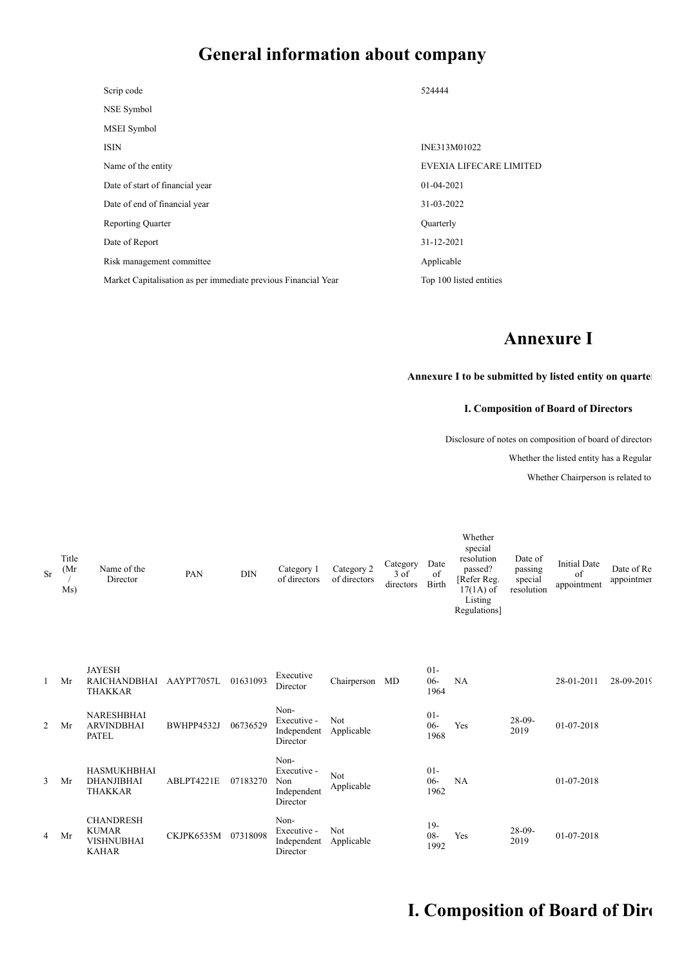# **General information about company**

| Scrip code                                                     | 524444                         |
|----------------------------------------------------------------|--------------------------------|
| NSE Symbol                                                     |                                |
| MSEI Symbol                                                    |                                |
| <b>ISIN</b>                                                    | INE313M01022                   |
| Name of the entity                                             | <b>EVEXIA LIFECARE LIMITED</b> |
| Date of start of financial year                                | $01-04-2021$                   |
| Date of end of financial year                                  | 31-03-2022                     |
| <b>Reporting Quarter</b>                                       | Quarterly                      |
| Date of Report                                                 | 31-12-2021                     |
| Risk management committee                                      | Applicable                     |
| Market Capitalisation as per immediate previous Financial Year | Top 100 listed entities        |

# **Annexure I**

### **Annexure I to be submitted by listed entity on quarter**

### **I. Composition of Board of Directors**

Disclosure of notes on composition of board of directors

Whether the listed entity has a Regular

Whether Chairperson is related to

| <b>Sr</b> | Title<br>(Mr)<br>Ms) | Name of the<br>Director                                               | PAN        | <b>DIN</b> | Category 1<br>of directors                            | Category 2<br>of directors       | Category<br>$3$ of<br>directors | Date<br>of<br>Birth      | Whether<br>special<br>resolution<br>passed?<br>[Refer Reg.<br>$17(1A)$ of<br>Listing<br>Regulations] | Date of<br>passing<br>special<br>resolution | <b>Initial Date</b><br>of<br>appointment | Date of Re<br>appointmer |
|-----------|----------------------|-----------------------------------------------------------------------|------------|------------|-------------------------------------------------------|----------------------------------|---------------------------------|--------------------------|------------------------------------------------------------------------------------------------------|---------------------------------------------|------------------------------------------|--------------------------|
| 1         | Mr                   | <b>JAYESH</b><br><b>RAICHANDBHAI</b><br><b>THAKKAR</b>                | AAYPT7057L | 01631093   | Executive<br>Director                                 | Chairperson                      | MD                              | $01 -$<br>$06 -$<br>1964 | NA                                                                                                   |                                             | 28-01-2011                               | 28-09-2019               |
| 2         | Mr                   | <b>NARESHBHAI</b><br><b>ARVINDBHAI</b><br><b>PATEL</b>                | BWHPP4532J | 06736529   | Non-<br>Executive -<br>Independent<br>Director        | Not<br>Applicable                |                                 | $01 -$<br>$06 -$<br>1968 | Yes                                                                                                  | $28-09-$<br>2019                            | 01-07-2018                               |                          |
| 3         | Mr                   | <b>HASMUKHBHAI</b><br><b>DHANJIBHAI</b><br><b>THAKKAR</b>             | ABLPT4221E | 07183270   | Non-<br>Executive -<br>Non<br>Independent<br>Director | Not<br>${\large \bf Applicable}$ |                                 | $01 -$<br>$06 -$<br>1962 | NA                                                                                                   |                                             | 01-07-2018                               |                          |
| 4         | Mr                   | <b>CHANDRESH</b><br><b>KUMAR</b><br><b>VISHNUBHAI</b><br><b>KAHAR</b> | CKJPK6535M | 07318098   | Non-<br>Executive -<br>Independent<br>Director        | Not<br>Applicable                |                                 | $19-$<br>$08 -$<br>1992  | Yes                                                                                                  | $28-09-$<br>2019                            | 01-07-2018                               |                          |

# **I. Composition of Board of Dire**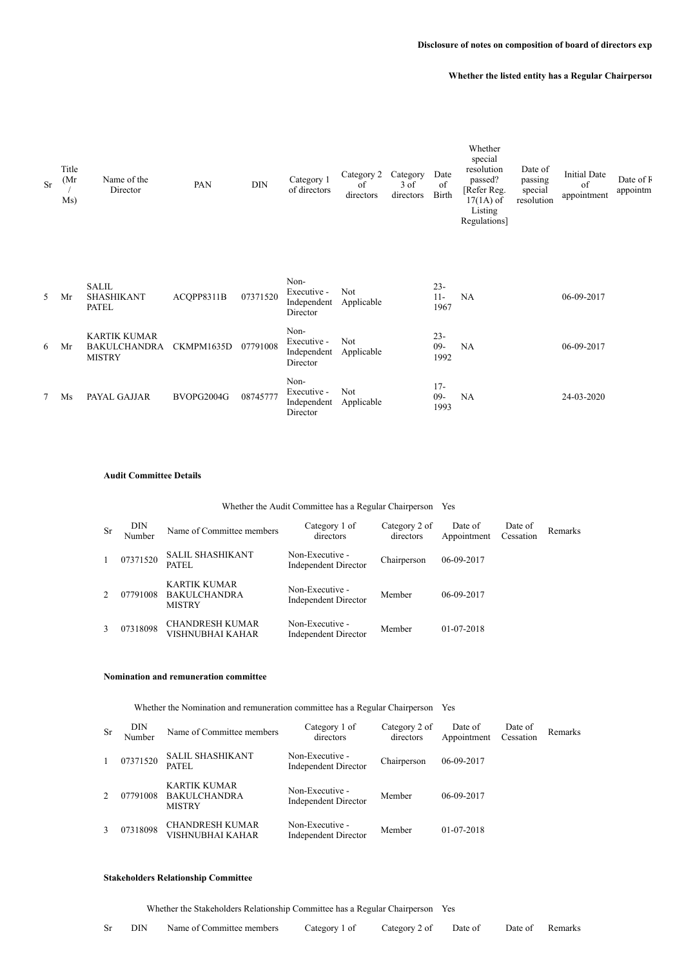#### **Whether the listed entity has a Regular Chairperson**

| <b>Sr</b> | Title<br>(Mr)<br>Ms) | Name of the<br>Director                                     | PAN        | <b>DIN</b> | Category 1<br>of directors                     | Category 2<br>of<br>directors | Category<br>3 of<br>directors | Date<br>of<br>Birth     | Whether<br>special<br>resolution<br>passed?<br>[Refer Reg.<br>$17(1A)$ of<br>Listing<br>Regulations] | Date of<br>passing<br>special<br>resolution | <b>Initial Date</b><br>of<br>appointment | Date of F<br>appointm |
|-----------|----------------------|-------------------------------------------------------------|------------|------------|------------------------------------------------|-------------------------------|-------------------------------|-------------------------|------------------------------------------------------------------------------------------------------|---------------------------------------------|------------------------------------------|-----------------------|
| 5         | Mr                   | <b>SALIL</b><br><b>SHASHIKANT</b><br><b>PATEL</b>           | ACOPP8311B | 07371520   | Non-<br>Executive -<br>Independent<br>Director | Not<br>Applicable             |                               | $23 -$<br>$11-$<br>1967 | NA                                                                                                   |                                             | 06-09-2017                               |                       |
| 6         | Mr                   | <b>KARTIK KUMAR</b><br><b>BAKULCHANDRA</b><br><b>MISTRY</b> | CKMPM1635D | 07791008   | Non-<br>Executive -<br>Independent<br>Director | Not<br>Applicable             |                               | $23 -$<br>$09-$<br>1992 | NA                                                                                                   |                                             | 06-09-2017                               |                       |
| 7         | Ms                   | PAYAL GAJJAR                                                | BVOPG2004G | 08745777   | Non-<br>Executive -<br>Independent<br>Director | Not<br>Applicable             |                               | $17-$<br>$09 -$<br>1993 | NA                                                                                                   |                                             | 24-03-2020                               |                       |

#### **Audit Committee Details**

#### Whether the Audit Committee has a Regular Chairperson Yes

| -Sr | DIN<br>Number | Name of Committee members                            | Category 1 of<br>directors                     | Category 2 of<br>directors | Date of<br>Appointment | Date of<br>Cessation | Remarks |
|-----|---------------|------------------------------------------------------|------------------------------------------------|----------------------------|------------------------|----------------------|---------|
| 1   | 07371520      | <b>SALIL SHASHIKANT</b><br>PATEL                     | Non-Executive -<br>Independent Director        | Chairperson                | 06-09-2017             |                      |         |
|     | 07791008      | KARTIK KUMAR<br><b>BAKULCHANDRA</b><br><b>MISTRY</b> | Non-Executive -<br>Independent Director        | Member                     | $06-09-2017$           |                      |         |
|     | 07318098      | <b>CHANDRESH KUMAR</b><br>VISHNUBHAI KAHAR           | Non-Executive -<br><b>Independent Director</b> | Member                     | 01-07-2018             |                      |         |

#### **Nomination and remuneration committee**

Whether the Nomination and remuneration committee has a Regular Chairperson Yes

| <b>Sr</b> | DIN<br>Number | Name of Committee members                            | Category 1 of<br>directors                     | Category 2 of<br>directors | Date of<br>Appointment | Date of<br>Cessation | Remarks |
|-----------|---------------|------------------------------------------------------|------------------------------------------------|----------------------------|------------------------|----------------------|---------|
|           | 07371520      | <b>SALIL SHASHIKANT</b><br><b>PATEL</b>              | Non-Executive -<br><b>Independent Director</b> | Chairperson                | 06-09-2017             |                      |         |
|           | 07791008      | KARTIK KUMAR<br><b>BAKULCHANDRA</b><br><b>MISTRY</b> | Non-Executive -<br>Independent Director        | Member                     | 06-09-2017             |                      |         |
| 3         | 07318098      | <b>CHANDRESH KUMAR</b><br>VISHNUBHAI KAHAR           | Non-Executive -<br>Independent Director        | Member                     | 01-07-2018             |                      |         |

#### **Stakeholders Relationship Committee**

Whether the Stakeholders Relationship Committee has a Regular Chairperson Yes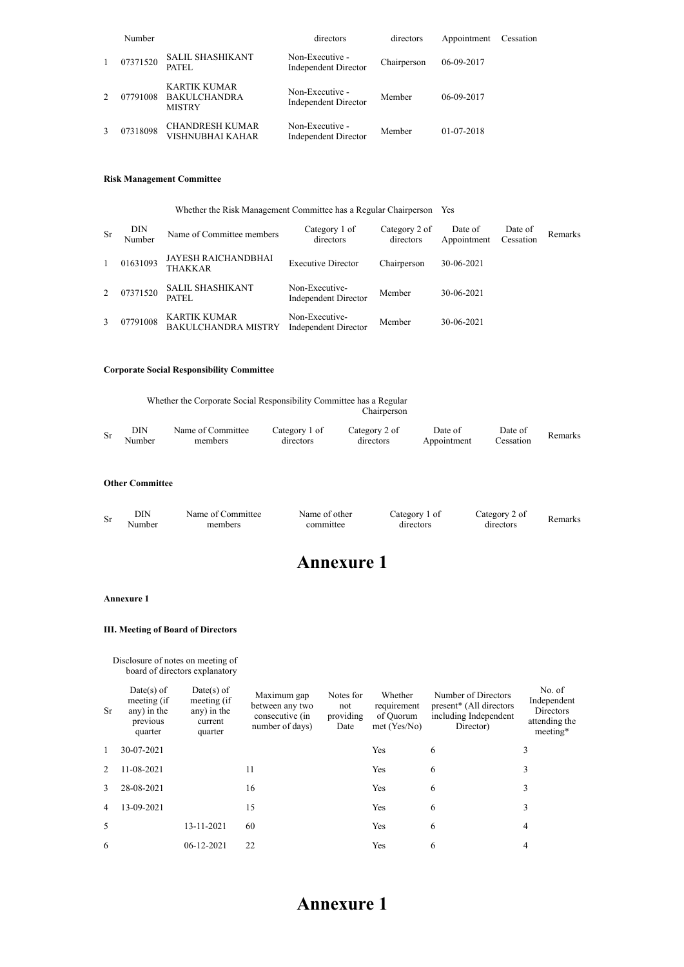|              | Number   |                                                      | directors                                      | directors   | Appointment | Cessation |
|--------------|----------|------------------------------------------------------|------------------------------------------------|-------------|-------------|-----------|
| $\mathbf{1}$ | 07371520 | <b>SALIL SHASHIKANT</b><br>PATEL                     | Non-Executive -<br>Independent Director        | Chairperson | 06-09-2017  |           |
|              | 07791008 | KARTIK KUMAR<br><b>BAKULCHANDRA</b><br><b>MISTRY</b> | Non-Executive -<br>Independent Director        | Member      | 06-09-2017  |           |
|              | 07318098 | <b>CHANDRESH KUMAR</b><br>VISHNUBHAI KAHAR           | Non-Executive -<br><b>Independent Director</b> | Member      | 01-07-2018  |           |

#### **Risk Management Committee**

|    | Whether the Risk Management Committee has a Regular Chairperson Yes |                                                   |                                        |                            |                        |                      |                |  |  |  |
|----|---------------------------------------------------------------------|---------------------------------------------------|----------------------------------------|----------------------------|------------------------|----------------------|----------------|--|--|--|
| Sr | DIN<br>Number                                                       | Name of Committee members                         | Category 1 of<br>directors             | Category 2 of<br>directors | Date of<br>Appointment | Date of<br>Cessation | <b>Remarks</b> |  |  |  |
|    | 01631093                                                            | JAYESH RAICHANDBHAI<br><b>THAKKAR</b>             | <b>Executive Director</b>              | Chairperson                | 30-06-2021             |                      |                |  |  |  |
| 2  | 07371520                                                            | <b>SALIL SHASHIKANT</b><br>PATEL                  | Non-Executive-<br>Independent Director | Member                     | 30-06-2021             |                      |                |  |  |  |
| 3  | 07791008                                                            | <b>KARTIK KUMAR</b><br><b>BAKULCHANDRA MISTRY</b> | Non-Executive-<br>Independent Director | Member                     | 30-06-2021             |                      |                |  |  |  |

### **Corporate Social Responsibility Committee**

|    |               | Whether the Corporate Social Responsibility Committee has a Regular<br>Chairperson |                            |                            |                        |                      |         |  |  |  |
|----|---------------|------------------------------------------------------------------------------------|----------------------------|----------------------------|------------------------|----------------------|---------|--|--|--|
| Sr | DIN<br>Number | Name of Committee<br>members                                                       | Category 1 of<br>directors | Category 2 of<br>directors | Date of<br>Appointment | Date of<br>Cessation | Remarks |  |  |  |

#### **Other Committee**

| Sr | DIN | Name of<br>`ommittee | Name of<br>∵ofher | ategory<br>$\Omega$ | `afeoory<br>01 | amork |
|----|-----|----------------------|-------------------|---------------------|----------------|-------|
|    |     | memher               |                   |                     | .11rector≤     |       |

## **Annexure 1**

#### **Annexure 1**

### **III. Meeting of Board of Directors**

Disclosure of notes on meeting of board of directors explanatory

| Sr            | $Date(s)$ of<br>meeting (if<br>any) in the<br>previous<br>quarter | $Date(s)$ of<br>meeting (if<br>any) in the<br>current<br>quarter | Maximum gap<br>between any two<br>consecutive (in<br>number of days) | Notes for<br>not<br>providing<br>Date | Whether<br>requirement<br>of Quorum<br>$met$ (Yes/No) | Number of Directors<br>present* (All directors<br>including Independent<br>Director) | No. of<br>Independent<br>Directors<br>attending the<br>meeting* |
|---------------|-------------------------------------------------------------------|------------------------------------------------------------------|----------------------------------------------------------------------|---------------------------------------|-------------------------------------------------------|--------------------------------------------------------------------------------------|-----------------------------------------------------------------|
| 1             | 30-07-2021                                                        |                                                                  |                                                                      |                                       | Yes                                                   | 6                                                                                    | 3                                                               |
| $\mathcal{L}$ | 11-08-2021                                                        |                                                                  | 11                                                                   |                                       | Yes                                                   | 6                                                                                    | 3                                                               |
| 3             | 28-08-2021                                                        |                                                                  | 16                                                                   |                                       | Yes                                                   | 6                                                                                    | 3                                                               |
| 4             | 13-09-2021                                                        |                                                                  | 15                                                                   |                                       | Yes                                                   | 6                                                                                    | 3                                                               |
| 5             |                                                                   | 13-11-2021                                                       | 60                                                                   |                                       | Yes                                                   | 6                                                                                    | 4                                                               |
| 6             |                                                                   | 06-12-2021                                                       | 22                                                                   |                                       | Yes                                                   | 6                                                                                    | 4                                                               |

### **Annexure 1**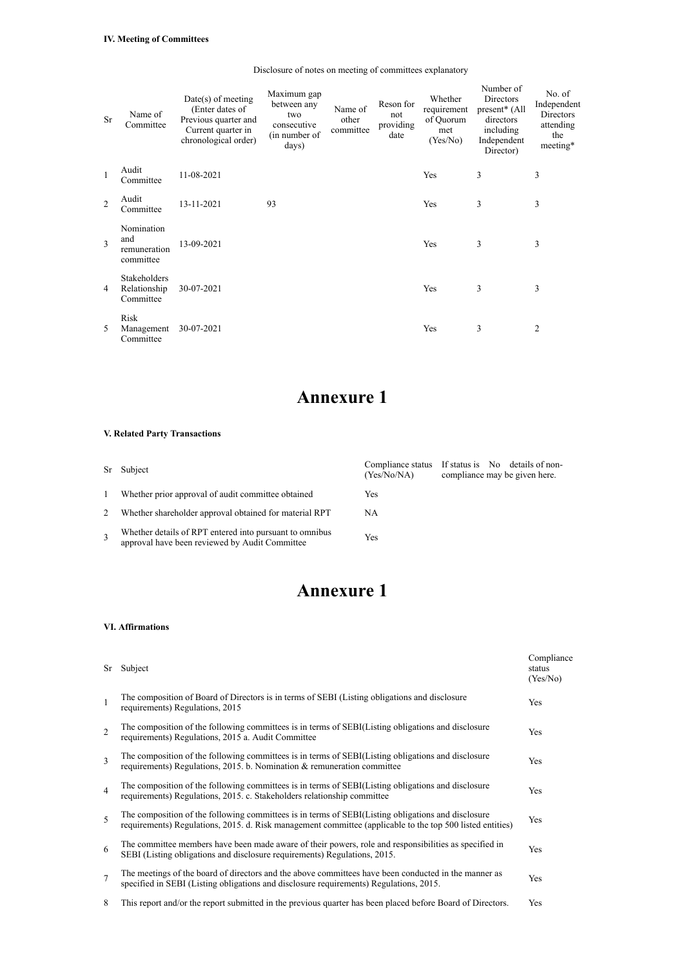| Sr             | Name of<br>Committee                           | $Date(s)$ of meeting<br>(Enter dates of<br>Previous quarter and<br>Current quarter in<br>chronological order) | Maximum gap<br>between any<br>two<br>consecutive<br>(in number of<br>days) | Name of<br>other<br>committee | Reson for<br>not<br>providing<br>date | Whether<br>requirement<br>of Quorum<br>met<br>(Yes/No) | Number of<br>Directors<br>present <sup>*</sup> (All<br>directors<br>including<br>Independent<br>Director) | No. of<br>Independent<br>Directors<br>attending<br>the<br>meeting* |
|----------------|------------------------------------------------|---------------------------------------------------------------------------------------------------------------|----------------------------------------------------------------------------|-------------------------------|---------------------------------------|--------------------------------------------------------|-----------------------------------------------------------------------------------------------------------|--------------------------------------------------------------------|
| $\mathbf{1}$   | Audit<br>Committee                             | 11-08-2021                                                                                                    |                                                                            |                               |                                       | Yes                                                    | 3                                                                                                         | 3                                                                  |
| $\mathfrak{D}$ | Audit<br>Committee                             | 13-11-2021                                                                                                    | 93                                                                         |                               |                                       | Yes                                                    | 3                                                                                                         | 3                                                                  |
| 3              | Nomination<br>and<br>remuneration<br>committee | 13-09-2021                                                                                                    |                                                                            |                               |                                       | Yes                                                    | 3                                                                                                         | 3                                                                  |
| 4              | Stakeholders<br>Relationship<br>Committee      | 30-07-2021                                                                                                    |                                                                            |                               |                                       | Yes                                                    | 3                                                                                                         | 3                                                                  |
| 5              | Risk<br>Management<br>Committee                | 30-07-2021                                                                                                    |                                                                            |                               |                                       | Yes                                                    | 3                                                                                                         | $\overline{2}$                                                     |

## **Annexure 1**

### **V. Related Party Transactions**

|              |                                                                                                           |             | Compliance status If status is No details of non- |
|--------------|-----------------------------------------------------------------------------------------------------------|-------------|---------------------------------------------------|
|              | Sr Subject                                                                                                | (Yes/No/NA) | compliance may be given here.                     |
| $\mathbf{1}$ | Whether prior approval of audit committee obtained                                                        | Yes         |                                                   |
| 2            | Whether shareholder approval obtained for material RPT                                                    | NA          |                                                   |
|              | Whether details of RPT entered into pursuant to omnibus<br>approval have been reviewed by Audit Committee | Yes         |                                                   |

# **Annexure 1**

### **VI. Affirmations**

| Sr             | Subject                                                                                                                                                                                                         | Compliance<br>status<br>(Yes/No) |
|----------------|-----------------------------------------------------------------------------------------------------------------------------------------------------------------------------------------------------------------|----------------------------------|
| $\overline{1}$ | The composition of Board of Directors is in terms of SEBI (Listing obligations and disclosure<br>requirements) Regulations, 2015                                                                                | Yes                              |
| 2              | The composition of the following committees is in terms of SEBI(Listing obligations and disclosure<br>requirements) Regulations, 2015 a. Audit Committee                                                        | Yes                              |
| 3              | The composition of the following committees is in terms of SEBI(Listing obligations and disclosure<br>requirements) Regulations, 2015. b. Nomination $\&$ remuneration committee                                | <b>Yes</b>                       |
| $\overline{4}$ | The composition of the following committees is in terms of SEBI(Listing obligations and disclosure<br>requirements) Regulations, 2015. c. Stakeholders relationship committee                                   | Yes                              |
| 5              | The composition of the following committees is in terms of SEBI(Listing obligations and disclosure<br>requirements) Regulations, 2015. d. Risk management committee (applicable to the top 500 listed entities) | Yes                              |
| 6              | The committee members have been made aware of their powers, role and responsibilities as specified in<br>SEBI (Listing obligations and disclosure requirements) Regulations, 2015.                              | Yes                              |
| $\overline{7}$ | The meetings of the board of directors and the above committees have been conducted in the manner as<br>specified in SEBI (Listing obligations and disclosure requirements) Regulations, 2015.                  | Yes                              |
| 8              | This report and/or the report submitted in the previous quarter has been placed before Board of Directors.                                                                                                      | Yes                              |